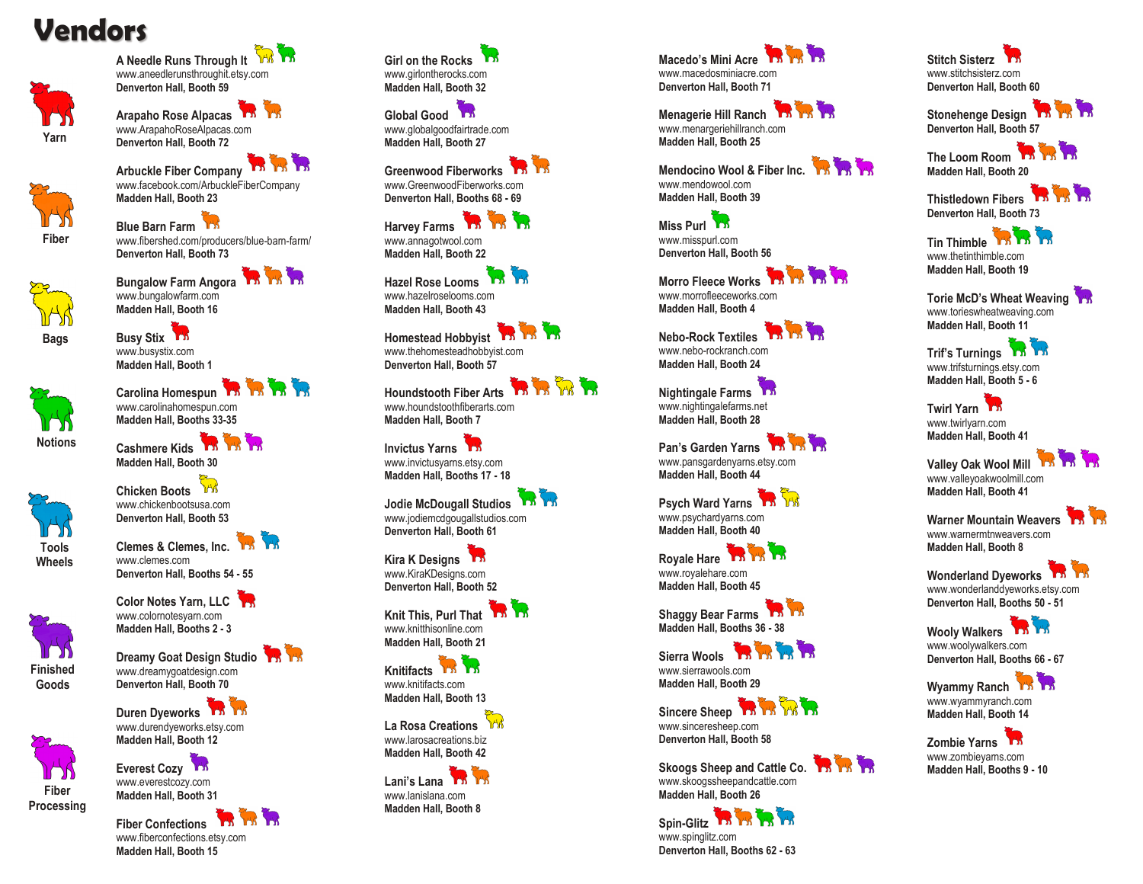## **Vendors**



**A Needle Runs Through It** www.aneedlerunsthroughit.etsy.com **Denverton Hall, Booth 59**

**Arapaho Rose Alpacas** www.ArapahoRoseAlpacas.com **Denverton Hall, Booth 72**



Arbuckle Fiber Company www.facebook.com/ArbuckleFiberCompany **Madden Hall, Booth 23**

**Blue Barn Farm** www.fibershed.com/producers/blue -barn -farm/ **Denverton Hall, Booth 73**

**Bags**

**Bungalow Farm Angora The TW 1-A** www.bungalowfarm.com **Madden Hall, Booth 16**

**Busy Stix** www.busystix.com **Madden Hall, Booth 1**



**Cashmere Kids Madden Hall, Booth 30 Chicken Boots** www.chickenbootsusa.com **Denverton Hall, Booth 53**

**Notions**





**Clemes & Clemes, Inc.** www.clemes.com **Denverton Hall, Booths 54 - 55**

**Denverton Hall, Booth 70 Duren Dyeworks** www.durendyeworks.etsy.com **Madden Hall, Booth 12 Everest Cozy** www.everestcozy.com **Madden Hall, Booth 31**

**Color Notes Yarn, LLC**





**Goods**



**Processing**

**Fiber Confections**  www.fiberconfections.etsy.com **Madden Hall, Booth 15**

**Girl on the Rocks** www.girlontherocks.com **Madden Hall, Booth 32**

**Global Good** www.globalgoodfairtrade.com **Madden Hall, Booth 27**

**Greenwood Fiberworks** www.GreenwoodFiberworks.com **Denverton Hall, Booths 68 - 69**

**Harvey Farms TA TA 14** www.annagotwool.com **Madden Hall, Booth 22**

**Hazel Rose Looms** www.hazelroselooms.com **Madden Hall, Booth 43**

**Homestead Hobbyist** www.thehomesteadhobbyist.com **Denverton Hall, Booth 57**

**Houndstooth Fiber Arts** www.houndstoothfiberarts.com **Madden Hall, Booth 7**

**Invictus Yarns** www.invictusyarns.etsy.com **Madden Hall, Booths 17 - 18**

**Jodie McDougall Studios** www.jodiemcdgougallstudios.com **Denverton Hall, Booth 61**

**Kira K Designs** www.KiraKDesigns.com **Denverton Hall, Booth 52**

**Knit This, Purl That** www.knitthisonline.com **Madden Hall, Booth 21**

**Knitifacts** www.knitifacts.com **Madden Hall, Booth 13**

**La Rosa Creations** www.larosacreations.biz **Madden Hall, Booth 42**

**Lani's Lana** www.lanislana.com **Madden Hall, Booth 8** **Macedo's Mini Acre** www.macedosminiacre.com **Denverton Hall, Booth 71**

**Menagerie Hill Ranch The Trying of The Trying** www.menargeriehillranch.com **Madden Hall, Booth 25**

**Mendocino Wool & Fiber Inc.** www.mendowool.com **Madden Hall, Booth 39**

**Miss Purl** 155 www.misspurl.com **Denverton Hall, Booth 56**

**Morro Fleece Works** www.morrofleeceworks.com **Madden Hall, Booth 4**

**Nebo -Rock Textiles** www.nebo -rockranch.com **Madden Hall, Booth 24**

**Nightingale Farms** www.nightingalefarms.net **Madden Hall, Booth 28**

**Pan's Garden Yarns** The The The www.pansgardenyarns.etsy.com **Madden Hall, Booth 44**

**Psych Ward Yarns PM** www.psychardyarns.com **Madden Hall, Booth 40**

**Royale Hare** The The www.royalehare.com **Madden Hall, Booth 45**

**Shaggy Bear Farms Madden Hall, Booths 36 - 38**

**Sierra Wools The TA TA TA** www.sierrawools.com **Madden Hall, Booth 29**



www.sinceresheep.com **Denverton Hall, Booth 58**

**Skoogs Sheep and Cattle Co.** The www.skoogssheepandcattle.com **Madden Hall, Booth 26**

**Spin -Glitz** www.spinglitz.com **Denverton Hall, Booths 62 - 63** **Stitch Sisterz** www.stitchsisterz.com **Denverton Hall, Booth 60**

Stonehenge Design **The Theory Denverton Hall, Booth 57**

**The Loom Room Madden Hall, Booth 20**

**Thistledown Fibers Denverton Hall, Booth 73**

**Tin Thimble** www.thetinthimble.com **Madden Hall, Booth 19**

**Torie McD's Wheat Weaving** www.torieswheatweaving.com **Madden Hall, Booth 11**

**Trif's Turnings** The T<sub>h</sub> www.trifsturnings.etsy.com **Madden Hall, Booth 5 - 6**

**Twirl Yarn** www.twirlyarn.com **Madden Hall, Booth 41**

**Valley Oak Wool Mill** 13 13 13 www.valleyoakwoolmill.com **Madden Hall, Booth 41**

Warner Mountain Weavers www.warnermtnweavers.com **Madden Hall, Booth 8**

**Wonderland Dyeworks** www.wonderlanddyeworks.etsy.com **Denverton Hall, Booths 50 - 51**

Wooly Walkers **The The** www.woolywalkers.com **Denverton Hall, Booths 66 - 67**

Wyammy Ranch<sup>13</sup> www.wyammyranch.com **Madden Hall, Booth 14**

**Zombie Yarns** www.zombieyarns.com **Madden Hall, Booths 9 - 10**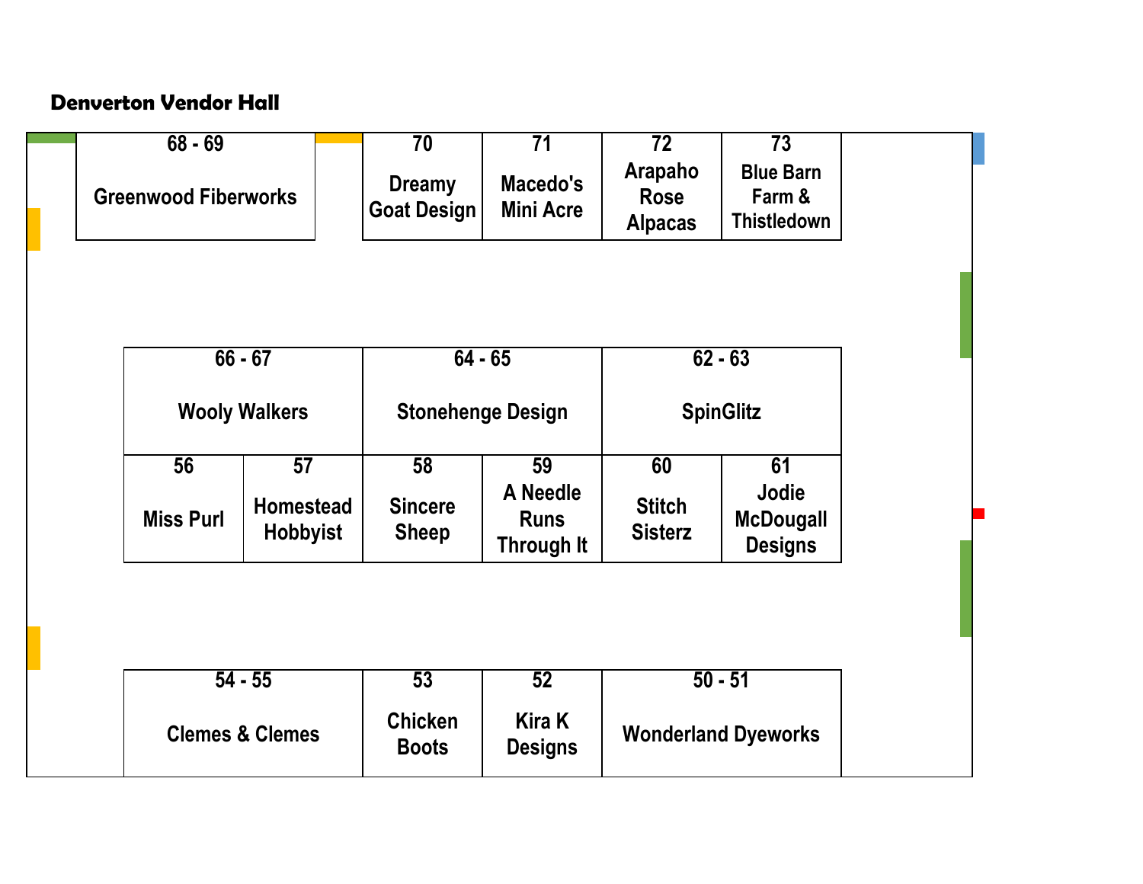## **Denverton Vendor Hall**

| $68 - 69$                   |                                     | $\overline{70}$                     | $\overline{71}$                       | $\overline{72}$                          | $\overline{73}$                                  |  |
|-----------------------------|-------------------------------------|-------------------------------------|---------------------------------------|------------------------------------------|--------------------------------------------------|--|
| <b>Greenwood Fiberworks</b> |                                     | <b>Dreamy</b><br><b>Goat Design</b> | Macedo's<br><b>Mini Acre</b>          | Arapaho<br><b>Rose</b><br><b>Alpacas</b> | <b>Blue Barn</b><br>Farm &<br><b>Thistledown</b> |  |
|                             | $66 - 67$                           | $64 - 65$                           |                                       |                                          |                                                  |  |
|                             |                                     |                                     |                                       | $62 - 63$                                |                                                  |  |
|                             | <b>Wooly Walkers</b>                |                                     | <b>Stonehenge Design</b>              | <b>SpinGlitz</b>                         |                                                  |  |
| 56                          | 57                                  | 58                                  | 59                                    | 60                                       | 61                                               |  |
| <b>Miss Purl</b>            | <b>Homestead</b><br><b>Hobbyist</b> | <b>Sincere</b><br><b>Sheep</b>      | A Needle<br><b>Runs</b><br>Through It | <b>Stitch</b><br><b>Sisterz</b>          | Jodie<br><b>McDougall</b><br><b>Designs</b>      |  |
|                             |                                     |                                     |                                       |                                          |                                                  |  |
|                             |                                     |                                     |                                       |                                          |                                                  |  |
|                             | $54 - 55$                           |                                     | 52                                    | $50 - 51$                                |                                                  |  |
|                             | <b>Clemes &amp; Clemes</b>          | <b>Chicken</b><br><b>Boots</b>      | <b>Kira K</b><br><b>Designs</b>       | <b>Wonderland Dyeworks</b>               |                                                  |  |